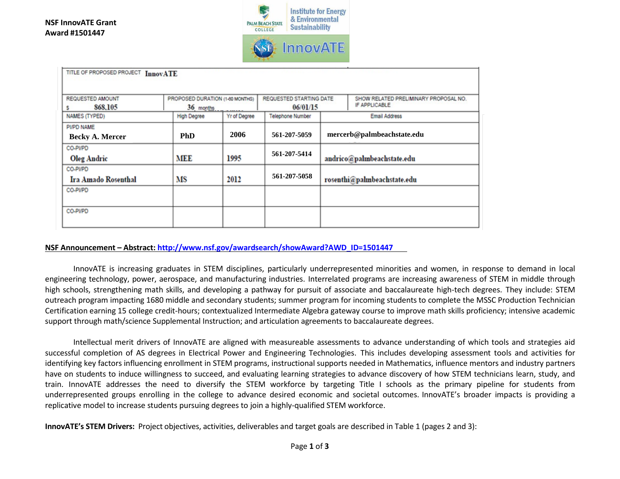

| TITLE OF PROPOSED PROJECT InnovATE   |                                              |              |                         |                                                                                               |  |
|--------------------------------------|----------------------------------------------|--------------|-------------------------|-----------------------------------------------------------------------------------------------|--|
| REQUESTED AMOUNT<br>868,105          | PROPOSED DURATION (1-60 MONTHS)<br>36 months |              |                         | REQUESTED STARTING DATE<br>SHOW RELATED PRELIMINARY PROPOSAL NO.<br>IF APPLICABLE<br>06/01/15 |  |
| NAMES (TYPED)                        | <b>High Degree</b>                           | Yr of Degree | <b>Telephone Number</b> | <b>Email Address</b>                                                                          |  |
| PI/PD NAME<br><b>Becky A. Mercer</b> | <b>PhD</b>                                   | 2006         | 561-207-5059            | mercerb@palmbeachstate.edu                                                                    |  |
| CO-PI/PD<br><b>Oleg Andric</b>       | <b>MEE</b>                                   | 1995         | 561-207-5414            | andrico@palmbeachstate.edu                                                                    |  |
| CO-PI/PD<br>Ira Amado Rosenthal      | MS                                           | 2012         | 561-207-5058            | rosenthi@palmbeachstate.edu                                                                   |  |
| CO-PVPD                              |                                              |              |                         |                                                                                               |  |
| CO-PVPD                              |                                              |              |                         |                                                                                               |  |

## **NSF Announcement – Abstract: [http://www.nsf.gov/awardsearch/showAward?AWD\\_ID=1501447](http://www.nsf.gov/awardsearch/showAward?AWD_ID=1501447)**

InnovATE is increasing graduates in STEM disciplines, particularly underrepresented minorities and women, in response to demand in local engineering technology, power, aerospace, and manufacturing industries. Interrelated programs are increasing awareness of STEM in middle through high schools, strengthening math skills, and developing a pathway for pursuit of associate and baccalaureate high-tech degrees. They include: STEM outreach program impacting 1680 middle and secondary students; summer program for incoming students to complete the MSSC Production Technician Certification earning 15 college credit-hours; contextualized Intermediate Algebra gateway course to improve math skills proficiency; intensive academic support through math/science Supplemental Instruction; and articulation agreements to baccalaureate degrees.

Intellectual merit drivers of InnovATE are aligned with measureable assessments to advance understanding of which tools and strategies aid successful completion of AS degrees in Electrical Power and Engineering Technologies. This includes developing assessment tools and activities for identifying key factors influencing enrollment in STEM programs, instructional supports needed in Mathematics, influence mentors and industry partners have on students to induce willingness to succeed, and evaluating learning strategies to advance discovery of how STEM technicians learn, study, and train. InnovATE addresses the need to diversify the STEM workforce by targeting Title I schools as the primary pipeline for students from underrepresented groups enrolling in the college to advance desired economic and societal outcomes. InnovATE's broader impacts is providing a replicative model to increase students pursuing degrees to join a highly-qualified STEM workforce.

**InnovATE's STEM Drivers:** Project objectives, activities, deliverables and target goals are described in Table 1 (pages 2 and 3):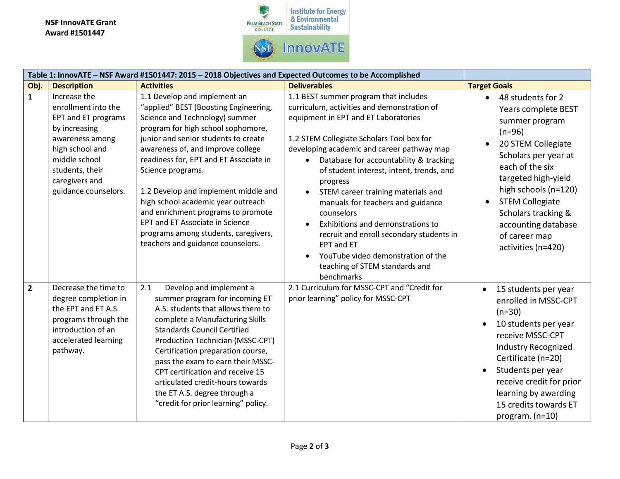## **NSF InnovATE Grant Award #1501447**



|                | Table 1: InnovATE - NSF Award #1501447: 2015 - 2018 Objectives and Expected Outcomes to be Accomplished                                                                                                |                                                                                                                                                                                                                                                                                                                                                                                                                                                                                                                                      |                                                                                                                                                                                                                                                                                                                                                                                                                                                                                                                                                                                                                                                       |                                                                                                                                                                                                                                                                                                                    |
|----------------|--------------------------------------------------------------------------------------------------------------------------------------------------------------------------------------------------------|--------------------------------------------------------------------------------------------------------------------------------------------------------------------------------------------------------------------------------------------------------------------------------------------------------------------------------------------------------------------------------------------------------------------------------------------------------------------------------------------------------------------------------------|-------------------------------------------------------------------------------------------------------------------------------------------------------------------------------------------------------------------------------------------------------------------------------------------------------------------------------------------------------------------------------------------------------------------------------------------------------------------------------------------------------------------------------------------------------------------------------------------------------------------------------------------------------|--------------------------------------------------------------------------------------------------------------------------------------------------------------------------------------------------------------------------------------------------------------------------------------------------------------------|
| Obj.           | <b>Description</b>                                                                                                                                                                                     | <b>Activities</b>                                                                                                                                                                                                                                                                                                                                                                                                                                                                                                                    | <b>Deliverables</b>                                                                                                                                                                                                                                                                                                                                                                                                                                                                                                                                                                                                                                   | <b>Target Goals</b>                                                                                                                                                                                                                                                                                                |
| $\mathbf{1}$   | Increase the<br>enrollment into the<br><b>EPT and ET programs</b><br>by increasing<br>awareness among<br>high school and<br>middle school<br>students, their<br>caregivers and<br>guidance counselors. | 1.1 Develop and implement an<br>"applied" BEST (Boosting Engineering,<br>Science and Technology) summer<br>program for high school sophomore,<br>junior and senior students to create<br>awareness of, and improve college<br>readiness for, EPT and ET Associate in<br>Science programs.<br>1.2 Develop and implement middle and<br>high school academic year outreach<br>and enrichment programs to promote<br><b>EPT and ET Associate in Science</b><br>programs among students, caregivers,<br>teachers and guidance counselors. | 1.1 BEST summer program that includes<br>curriculum, activities and demonstration of<br>equipment in EPT and ET Laboratories<br>1.2 STEM Collegiate Scholars Tool box for<br>developing academic and career pathway map<br>Database for accountability & tracking<br>of student interest, intent, trends, and<br>progress<br>STEM career training materials and<br>$\bullet$<br>manuals for teachers and guidance<br>counselors<br>Exhibitions and demonstrations to<br>$\bullet$<br>recruit and enroll secondary students in<br><b>EPT and ET</b><br>YouTube video demonstration of the<br>$\bullet$<br>teaching of STEM standards and<br>benchmarks | 48 students for 2<br>$\bullet$<br>Years complete BEST<br>summer program<br>$(n=96)$<br>20 STEM Collegiate<br>Scholars per year at<br>each of the six<br>targeted high-yield<br>high schools (n=120)<br><b>STEM Collegiate</b><br>Scholars tracking &<br>accounting database<br>of career map<br>activities (n=420) |
| $\overline{2}$ | Decrease the time to<br>degree completion in<br>the EPT and ET A.S.<br>programs through the<br>introduction of an<br>accelerated learning<br>pathway.                                                  | 2.1<br>Develop and implement a<br>summer program for incoming ET<br>A.S. students that allows them to<br>complete a Manufacturing Skills<br><b>Standards Council Certified</b><br>Production Technician (MSSC-CPT)<br>Certification preparation course,<br>pass the exam to earn their MSSC-<br>CPT certification and receive 15<br>articulated credit-hours towards<br>the ET A.S. degree through a<br>"credit for prior learning" policy.                                                                                          | 2.1 Curriculum for MSSC-CPT and "Credit for<br>prior learning" policy for MSSC-CPT                                                                                                                                                                                                                                                                                                                                                                                                                                                                                                                                                                    | 15 students per year<br>$\bullet$<br>enrolled in MSSC-CPT<br>$(n=30)$<br>10 students per year<br>receive MSSC-CPT<br><b>Industry Recognized</b><br>Certificate (n=20)<br>Students per year<br>$\bullet$<br>receive credit for prior<br>learning by awarding<br>15 credits towards ET<br>program. $(n=10)$          |